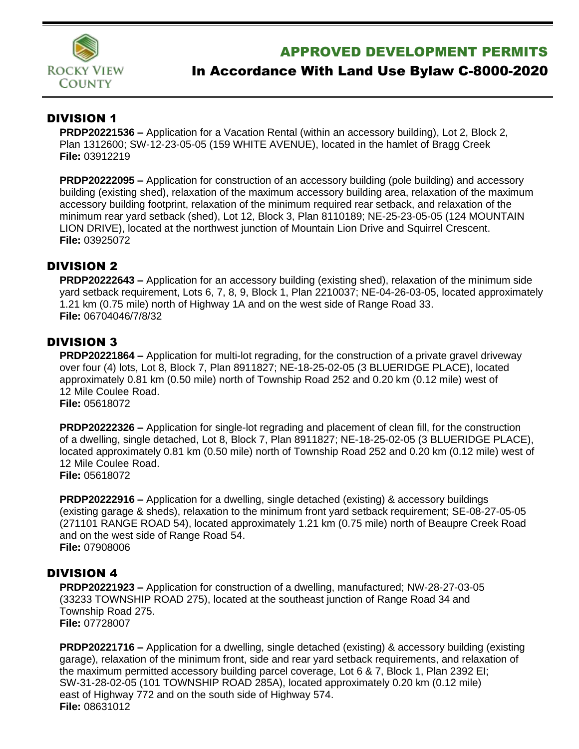

# APPROVED DEVELOPMENT PERMITS

# In Accordance With Land Use Bylaw C-8000-2020

#### DIVISION 1

**PRDP20221536 –** Application for a Vacation Rental (within an accessory building), Lot 2, Block 2, Plan 1312600; SW-12-23-05-05 (159 WHITE AVENUE), located in the hamlet of Bragg Creek **File:** 03912219

**PRDP20222095 –** Application for construction of an accessory building (pole building) and accessory building (existing shed), relaxation of the maximum accessory building area, relaxation of the maximum accessory building footprint, relaxation of the minimum required rear setback, and relaxation of the minimum rear yard setback (shed), Lot 12, Block 3, Plan 8110189; NE-25-23-05-05 (124 MOUNTAIN LION DRIVE), located at the northwest junction of Mountain Lion Drive and Squirrel Crescent. **File:** 03925072

#### DIVISION 2

**PRDP20222643 –** Application for an accessory building (existing shed), relaxation of the minimum side yard setback requirement, Lots 6, 7, 8, 9, Block 1, Plan 2210037; NE-04-26-03-05, located approximately 1.21 km (0.75 mile) north of Highway 1A and on the west side of Range Road 33. **File:** 06704046/7/8/32

# DIVISION 3

**PRDP20221864 –** Application for multi-lot regrading, for the construction of a private gravel driveway over four (4) lots, Lot 8, Block 7, Plan 8911827; NE-18-25-02-05 (3 BLUERIDGE PLACE), located approximately 0.81 km (0.50 mile) north of Township Road 252 and 0.20 km (0.12 mile) west of 12 Mile Coulee Road. **File:** 05618072

**PRDP20222326 –** Application for single-lot regrading and placement of clean fill, for the construction of a dwelling, single detached, Lot 8, Block 7, Plan 8911827; NE-18-25-02-05 (3 BLUERIDGE PLACE), located approximately 0.81 km (0.50 mile) north of Township Road 252 and 0.20 km (0.12 mile) west of 12 Mile Coulee Road. **File:** 05618072

**PRDP20222916 –** Application for a dwelling, single detached (existing) & accessory buildings (existing garage & sheds), relaxation to the minimum front yard setback requirement; SE-08-27-05-05 (271101 RANGE ROAD 54), located approximately 1.21 km (0.75 mile) north of Beaupre Creek Road and on the west side of Range Road 54. **File:** 07908006

# DIVISION 4

**PRDP20221923 –** Application for construction of a dwelling, manufactured; NW-28-27-03-05 (33233 TOWNSHIP ROAD 275), located at the southeast junction of Range Road 34 and Township Road 275. **File:** 07728007

**PRDP20221716 –** Application for a dwelling, single detached (existing) & accessory building (existing garage), relaxation of the minimum front, side and rear yard setback requirements, and relaxation of the maximum permitted accessory building parcel coverage, Lot 6 & 7, Block 1, Plan 2392 EI; SW-31-28-02-05 (101 TOWNSHIP ROAD 285A), located approximately 0.20 km (0.12 mile) east of Highway 772 and on the south side of Highway 574. **File:** 08631012